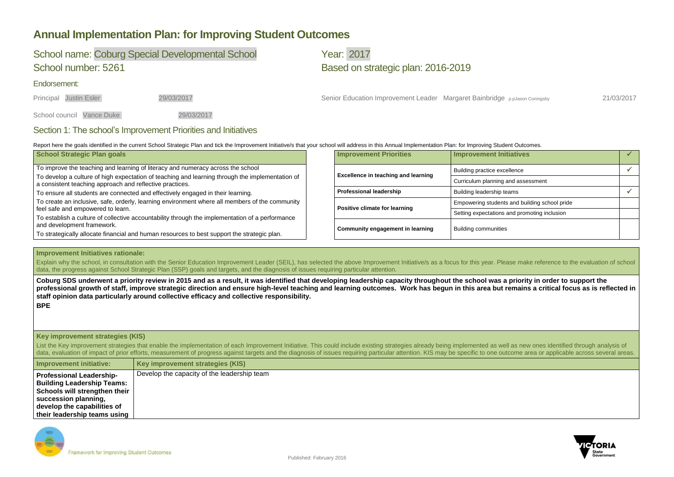

## **Annual Implementation Plan: for Improving Student Outcomes**

## School name: Coburg Special Developmental School Vear: 2017 School number: 5261 Based on strategic plan: 2016-2019

Endorsement:

Principal Justin Esler 29/03/2017 29/03/2017 Senior Education Improvement Leader Margaret Bainbridge p.pJason Coningsby 21/03/2017

School council Vance Duke 29/03/2017

### Section 1: The school's Improvement Priorities and Initiatives

Report here the goals identified in the current School Strategic Plan and tick the Improvement Initiative/s that your school will address in this Annual Implementation Plan: for Improving Student Outcomes.

Explain why the school, in consultation with the Senior Education Improvement Leader (SEIL), has selected the above Improvement Initiative/s as a focus for this year. Please make reference to the evaluation of school data, the progress against School Strategic Plan (SSP) goals and targets, and the diagnosis of issues requiring particular attention.

| School Strategic Plan goals                                                                                                                                 | <b>Improvement Priorities</b>              | Improvement Initiatives                       |  |
|-------------------------------------------------------------------------------------------------------------------------------------------------------------|--------------------------------------------|-----------------------------------------------|--|
| To improve the teaching and learning of literacy and numeracy across the school                                                                             |                                            | Building practice excellence                  |  |
| To develop a culture of high expectation of teaching and learning through the implementation of<br>a consistent teaching approach and reflective practices. | <b>Excellence in teaching and learning</b> | Curriculum planning and assessment            |  |
| To ensure all students are connected and effectively engaged in their learning.                                                                             | <b>Professional leadership</b>             | Building leadership teams                     |  |
| To create an inclusive, safe, orderly, learning environment where all members of the community                                                              | <b>Positive climate for learning</b>       | Empowering students and building school pride |  |
| feel safe and empowered to learn.<br>To establish a culture of collective accountability through the implementation of a performance                        |                                            | Setting expectations and promoting inclusion  |  |
| and development framework.                                                                                                                                  |                                            |                                               |  |
| To strategically allocate financial and human resources to best support the strategic plan.                                                                 | <b>Community engagement in learning</b>    | <b>Building communities</b>                   |  |

### **Improvement Initiatives rationale:**

**Coburg SDS underwent a priority review in 2015 and as a result, it was identified that developing leadership capacity throughout the school was a priority in order to support the professional growth of staff, improve strategic direction and ensure high-level teaching and learning outcomes. Work has begun in this area but remains a critical focus as is reflected in staff opinion data particularly around collective efficacy and collective responsibility. BPE**

### **Key improvement strategies (KIS)**

List the Key improvement strategies that enable the implementation of each Improvement Initiative. This could include existing strategies already being implemented as well as new ones identified through analysis of data, evaluation of impact of prior efforts, measurement of progress against targets and the diagnosis of issues requiring particular attention. KIS may be specific to one outcome area or applicable across several areas.

| Improvement initiative:           | Key improvement strategies (KIS)            |
|-----------------------------------|---------------------------------------------|
| <b>Professional Leadership-</b>   | Develop the capacity of the leadership team |
| <b>Building Leadership Teams:</b> |                                             |
| Schools will strengthen their     |                                             |
| succession planning,              |                                             |
| develop the capabilities of       |                                             |
| their leadership teams using      |                                             |

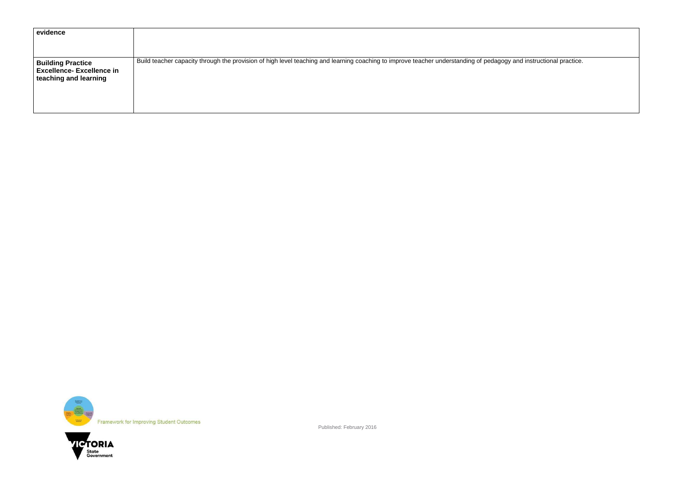Published: February 2016

gy and instructional practice.

| evidence                                                                             |                                                                                                                                       |
|--------------------------------------------------------------------------------------|---------------------------------------------------------------------------------------------------------------------------------------|
| <b>Building Practice</b><br><b>Excellence-Excellence in</b><br>teaching and learning | Build teacher capacity through the provision of high level teaching and learning coaching to improve teacher understanding of pedagog |



Framework for Improving Student Outcomes

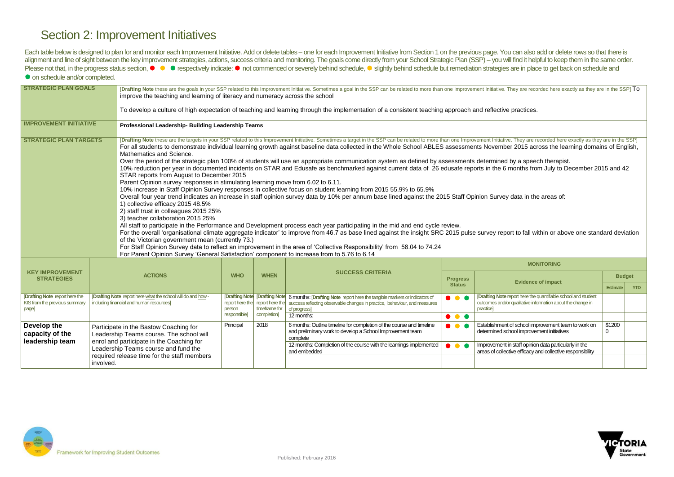

# Section 2: Improvement Initiatives

Each table below is designed to plan for and monitor each Improvement Initiative. Add or delete tables - one for each Improvement Initiative from Section 1 on the previous page. You can also add or delete rows so that ther alignment and line of sight between the key improvement strategies, actions, success criteria and monitoring. The goals come directly from your School Strategic Plan (SSP) - you will find it helpful to keep them in the sam Please not that, in the progress status section, ● ● respectively indicate: ● not commenced or severely behind schedule, ● slightly behind schedule but remediation strategies are in place to get back on schedule and  $\bullet$  on schedule and/or completed.

| <b>STRATEGIC PLAN GOALS</b>                                                    |                                                                                                                                                                                                                                     | [Drafting Note these are the goals in your SSP related to this Improvement Initiative. Sometimes a goal in the SSP can be related to more than one Improvement Initiative. They are recorded here exactly as they are in the S<br>improve the teaching and learning of literacy and numeracy across the school<br>To develop a culture of high expectation of teaching and learning through the implementation of a consistent teaching approach and reflective practices.                                                                                                                                                                                                                                                                                                                                                                                                                                                                                                                                                                                                                                                                                                                                                                                                                                                                                                                                                                                                                                                                                                                                                                                                                                                                                                                                                                                                                                                                                            |              |                                                  |                                                                                                                                                                                                            |                                  |                                                                                                                     |                       |            |  |
|--------------------------------------------------------------------------------|-------------------------------------------------------------------------------------------------------------------------------------------------------------------------------------------------------------------------------------|-----------------------------------------------------------------------------------------------------------------------------------------------------------------------------------------------------------------------------------------------------------------------------------------------------------------------------------------------------------------------------------------------------------------------------------------------------------------------------------------------------------------------------------------------------------------------------------------------------------------------------------------------------------------------------------------------------------------------------------------------------------------------------------------------------------------------------------------------------------------------------------------------------------------------------------------------------------------------------------------------------------------------------------------------------------------------------------------------------------------------------------------------------------------------------------------------------------------------------------------------------------------------------------------------------------------------------------------------------------------------------------------------------------------------------------------------------------------------------------------------------------------------------------------------------------------------------------------------------------------------------------------------------------------------------------------------------------------------------------------------------------------------------------------------------------------------------------------------------------------------------------------------------------------------------------------------------------------------|--------------|--------------------------------------------------|------------------------------------------------------------------------------------------------------------------------------------------------------------------------------------------------------------|----------------------------------|---------------------------------------------------------------------------------------------------------------------|-----------------------|------------|--|
| <b>IMPROVEMENT INITIATIVE</b>                                                  |                                                                                                                                                                                                                                     | Professional Leadership- Building Leadership Teams                                                                                                                                                                                                                                                                                                                                                                                                                                                                                                                                                                                                                                                                                                                                                                                                                                                                                                                                                                                                                                                                                                                                                                                                                                                                                                                                                                                                                                                                                                                                                                                                                                                                                                                                                                                                                                                                                                                    |              |                                                  |                                                                                                                                                                                                            |                                  |                                                                                                                     |                       |            |  |
| <b>STRATEGIC PLAN TARGETS</b>                                                  |                                                                                                                                                                                                                                     | [Drafting Note these are the targets in your SSP related to this Improvement Initiative. Sometimes a target in the SSP can be related to more than one Improvement Initiative. They are recorded here exactly as they are in t<br>For all students to demonstrate individual learning growth against baseline data collected in the Whole School ABLES assessments November 2015 across the learning domains of English,<br>Mathematics and Science.<br>Over the period of the strategic plan 100% of students will use an appropriate communication system as defined by assessments determined by a speech therapist.<br>10% reduction per year in documented incidents on STAR and Edusafe as benchmarked against current data of 26 edusafe reports in the 6 months from July to December 2015 and 42<br>STAR reports from August to December 2015<br>Parent Opinion survey responses in stimulating learning move from 6.02 to 6.11.<br>10% increase in Staff Opinion Survey responses in collective focus on student learning from 2015 55.9% to 65.9%<br>Overall four year trend indicates an increase in staff opinion survey data by 10% per annum base lined against the 2015 Staff Opinion Survey data in the areas of:<br>1) collective efficacy 2015 48.5%<br>2) staff trust in colleagues 2015 25%<br>3) teacher collaboration 2015 25%<br>All staff to participate in the Performance and Development process each year participating in the mid and end cycle review.<br>For the overall 'organisational climate aggregate indicator' to improve from 46.7 as base lined against the insight SRC 2015 pulse survey report to fall within or above one standard deviation<br>of the Victorian government mean (currently 73.)<br>For Staff Opinion Survey data to reflect an improvement in the area of 'Collective Responsibility' from 58.04 to 74.24<br>For Parent Opinion Survey 'General Satisfaction' component to increase from to 5.76 to 6.14 |              |                                                  |                                                                                                                                                                                                            |                                  |                                                                                                                     |                       |            |  |
| <b>KEY IMPROVEMENT</b>                                                         |                                                                                                                                                                                                                                     |                                                                                                                                                                                                                                                                                                                                                                                                                                                                                                                                                                                                                                                                                                                                                                                                                                                                                                                                                                                                                                                                                                                                                                                                                                                                                                                                                                                                                                                                                                                                                                                                                                                                                                                                                                                                                                                                                                                                                                       |              |                                                  | <b>SUCCESS CRITERIA</b>                                                                                                                                                                                    | <b>MONITORING</b>                |                                                                                                                     |                       |            |  |
| <b>STRATEGIES</b>                                                              | <b>ACTIONS</b>                                                                                                                                                                                                                      |                                                                                                                                                                                                                                                                                                                                                                                                                                                                                                                                                                                                                                                                                                                                                                                                                                                                                                                                                                                                                                                                                                                                                                                                                                                                                                                                                                                                                                                                                                                                                                                                                                                                                                                                                                                                                                                                                                                                                                       | <b>WHO</b>   | <b>WHEN</b>                                      |                                                                                                                                                                                                            | <b>Progress</b><br><b>Status</b> | <b>Evidence of impact</b>                                                                                           | <b>Budget</b>         |            |  |
|                                                                                |                                                                                                                                                                                                                                     |                                                                                                                                                                                                                                                                                                                                                                                                                                                                                                                                                                                                                                                                                                                                                                                                                                                                                                                                                                                                                                                                                                                                                                                                                                                                                                                                                                                                                                                                                                                                                                                                                                                                                                                                                                                                                                                                                                                                                                       |              |                                                  |                                                                                                                                                                                                            |                                  | [Drafting Note report here the quantifiable school and student                                                      | <b>Estimate</b>       | <b>YTD</b> |  |
| <b>[Drafting Note</b> report here the<br>KIS from the previous summary<br>page |                                                                                                                                                                                                                                     | [Drafting Note report here what the school will do and how -<br>including financial and human resources]                                                                                                                                                                                                                                                                                                                                                                                                                                                                                                                                                                                                                                                                                                                                                                                                                                                                                                                                                                                                                                                                                                                                                                                                                                                                                                                                                                                                                                                                                                                                                                                                                                                                                                                                                                                                                                                              |              | report here the report here the<br>timeframe for | [Drafting Note   [Drafting Note   6 months: [Drafting Note report here the tangible markers or indicators of<br>success reflecting observable changes in practice, behaviour, and measures<br>of progress] | $\bullet\bullet\bullet$          | outcomes and/or qualitative information about the change in<br>practice]                                            |                       |            |  |
|                                                                                |                                                                                                                                                                                                                                     |                                                                                                                                                                                                                                                                                                                                                                                                                                                                                                                                                                                                                                                                                                                                                                                                                                                                                                                                                                                                                                                                                                                                                                                                                                                                                                                                                                                                                                                                                                                                                                                                                                                                                                                                                                                                                                                                                                                                                                       | responsible] | completion]                                      | 12 months:                                                                                                                                                                                                 | $\bullet\bullet\bullet$          |                                                                                                                     |                       |            |  |
| Develop the<br>capacity of the<br>leadership team                              | Participate in the Bastow Coaching for<br>Leadership Teams course. The school will<br>enrol and participate in the Coaching for<br>Leadership Teams course and fund the<br>required release time for the staff members<br>involved. |                                                                                                                                                                                                                                                                                                                                                                                                                                                                                                                                                                                                                                                                                                                                                                                                                                                                                                                                                                                                                                                                                                                                                                                                                                                                                                                                                                                                                                                                                                                                                                                                                                                                                                                                                                                                                                                                                                                                                                       | Principal    | 2018                                             | 6 months: Outline timeline for completion of the course and timeline<br>and preliminary work to develop a School Improvement team<br>complete                                                              | $\bullet\bullet\bullet$          | Establishment of school improvement team to work on<br>determined school improvement initiatives                    | \$1200<br>$\mathbf 0$ |            |  |
|                                                                                |                                                                                                                                                                                                                                     |                                                                                                                                                                                                                                                                                                                                                                                                                                                                                                                                                                                                                                                                                                                                                                                                                                                                                                                                                                                                                                                                                                                                                                                                                                                                                                                                                                                                                                                                                                                                                                                                                                                                                                                                                                                                                                                                                                                                                                       |              |                                                  | 12 months: Completion of the course with the learnings implemented<br>and embedded                                                                                                                         | $\bullet\bullet\bullet$          | Improvement in staff opinion data particularly in the<br>areas of collective efficacy and collective responsibility |                       |            |  |

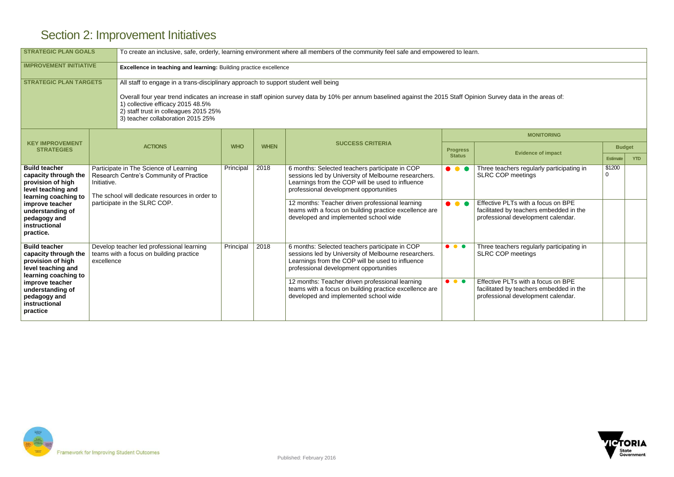

# Section 2: Improvement Initiatives

| <b>STRATEGIC PLAN GOALS</b>                                                                                                                                                                          |                                                                                                    | To create an inclusive, safe, orderly, learning environment where all members of the community feel safe and empowered to learn.                                                                                                                                                                                                                                           |            |             |                                                                                                                                                                                                                                                                                                                                                            |                                                    |                                                                                                                                                                                              |                                  |            |  |  |
|------------------------------------------------------------------------------------------------------------------------------------------------------------------------------------------------------|----------------------------------------------------------------------------------------------------|----------------------------------------------------------------------------------------------------------------------------------------------------------------------------------------------------------------------------------------------------------------------------------------------------------------------------------------------------------------------------|------------|-------------|------------------------------------------------------------------------------------------------------------------------------------------------------------------------------------------------------------------------------------------------------------------------------------------------------------------------------------------------------------|----------------------------------------------------|----------------------------------------------------------------------------------------------------------------------------------------------------------------------------------------------|----------------------------------|------------|--|--|
| <b>IMPROVEMENT INITIATIVE</b><br>Excellence in teaching and learning: Building practice excellence                                                                                                   |                                                                                                    |                                                                                                                                                                                                                                                                                                                                                                            |            |             |                                                                                                                                                                                                                                                                                                                                                            |                                                    |                                                                                                                                                                                              |                                  |            |  |  |
| <b>STRATEGIC PLAN TARGETS</b>                                                                                                                                                                        |                                                                                                    | All staff to engage in a trans-disciplinary approach to support student well being<br>Overall four year trend indicates an increase in staff opinion survey data by 10% per annum baselined against the 2015 Staff Opinion Survey data in the areas of:<br>1) collective efficacy 2015 48.5%<br>2) staff trust in colleagues 2015 25%<br>3) teacher collaboration 2015 25% |            |             |                                                                                                                                                                                                                                                                                                                                                            |                                                    |                                                                                                                                                                                              |                                  |            |  |  |
| <b>KEY IMPROVEMENT</b>                                                                                                                                                                               |                                                                                                    |                                                                                                                                                                                                                                                                                                                                                                            |            |             | <b>SUCCESS CRITERIA</b>                                                                                                                                                                                                                                                                                                                                    | <b>MONITORING</b>                                  |                                                                                                                                                                                              |                                  |            |  |  |
| <b>STRATEGIES</b>                                                                                                                                                                                    | <b>ACTIONS</b>                                                                                     |                                                                                                                                                                                                                                                                                                                                                                            | <b>WHO</b> | <b>WHEN</b> |                                                                                                                                                                                                                                                                                                                                                            | <b>Progress</b><br><b>Status</b>                   | <b>Evidence of impact</b>                                                                                                                                                                    | <b>Budget</b><br><b>Estimate</b> | <b>YTD</b> |  |  |
| <b>Build teacher</b><br>capacity through the<br>provision of high<br>level teaching and<br>learning coaching to<br>improve teacher<br>understanding of<br>pedagogy and<br>instructional<br>practice. | Initiative.                                                                                        | Participate in The Science of Learning<br>Research Centre's Community of Practice<br>The school will dedicate resources in order to<br>participate in the SLRC COP.                                                                                                                                                                                                        | Principal  | 2018        | 6 months: Selected teachers participate in COP<br>sessions led by University of Melbourne researchers.<br>Learnings from the COP will be used to influence<br>professional development opportunities<br>12 months: Teacher driven professional learning<br>teams with a focus on building practice excellence are<br>developed and implemented school wide | $\bullet\bullet\bullet$<br>$\bullet\bullet\bullet$ | Three teachers regularly participating in<br><b>SLRC COP meetings</b><br>Effective PLTs with a focus on BPE<br>facilitated by teachers embedded in the<br>professional development calendar. | \$1200<br>$\Omega$               |            |  |  |
| <b>Build teacher</b><br>capacity through the<br>provision of high<br>level teaching and<br>learning coaching to<br>improve teacher<br>understanding of<br>pedagogy and<br>instructional<br>practice  | Develop teacher led professional learning<br>teams with a focus on building practice<br>excellence |                                                                                                                                                                                                                                                                                                                                                                            | Principal  | 2018        | 6 months: Selected teachers participate in COP<br>sessions led by University of Melbourne researchers.<br>Learnings from the COP will be used to influence<br>professional development opportunities<br>12 months: Teacher driven professional learning<br>teams with a focus on building practice excellence are<br>developed and implemented school wide | $\bullet\bullet\bullet$<br>$\bullet\bullet\bullet$ | Three teachers regularly participating in<br><b>SLRC COP meetings</b><br>Effective PLTs with a focus on BPE<br>facilitated by teachers embedded in the<br>professional development calendar. |                                  |            |  |  |

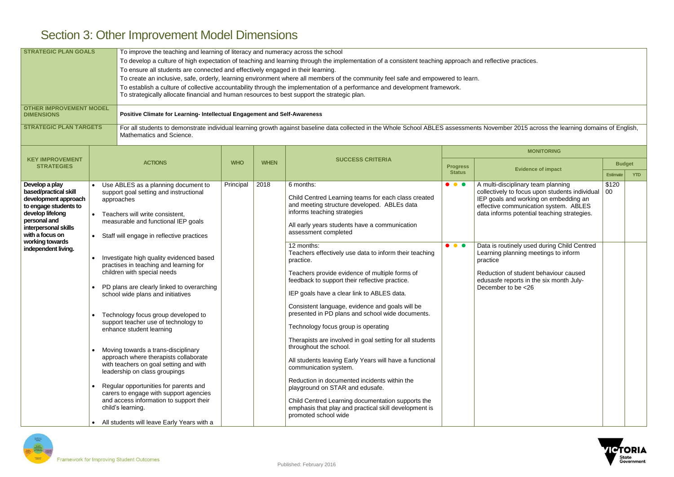# Section 3: Other Improvement Model Dimensions

| <b>STRATEGIC PLAN GOALS</b><br><b>OTHER IMPROVEMENT MODEL</b><br><b>DIMENSIONS</b><br><b>STRATEGIC PLAN TARGETS</b>                                                                                               |           | To improve the teaching and learning of literacy and numeracy across the school<br>To develop a culture of high expectation of teaching and learning through the implementation of a consistent teaching approach and reflective practices.<br>To ensure all students are connected and effectively engaged in their learning.<br>To create an inclusive, safe, orderly, learning environment where all members of the community feel safe and empowered to learn.<br>To establish a culture of collective accountability through the implementation of a performance and development framework.<br>To strategically allocate financial and human resources to best support the strategic plan.<br>Positive Climate for Learning- Intellectual Engagement and Self-Awareness<br>For all students to demonstrate individual learning growth against baseline data collected in the Whole School ABLES assessments November 2015 across the learning domains of English,<br>Mathematics and Science. |            |             |                                                                                                                                                                                                                                                                                                                                                                                                                                                                                                                                                                                                                                                                                                                                                                                                                                                                                                                                                                                                                 |                                                    |                                                                                                                                                                                                                                                                                                                                                                                                                                    |                       |  |  |
|-------------------------------------------------------------------------------------------------------------------------------------------------------------------------------------------------------------------|-----------|----------------------------------------------------------------------------------------------------------------------------------------------------------------------------------------------------------------------------------------------------------------------------------------------------------------------------------------------------------------------------------------------------------------------------------------------------------------------------------------------------------------------------------------------------------------------------------------------------------------------------------------------------------------------------------------------------------------------------------------------------------------------------------------------------------------------------------------------------------------------------------------------------------------------------------------------------------------------------------------------------|------------|-------------|-----------------------------------------------------------------------------------------------------------------------------------------------------------------------------------------------------------------------------------------------------------------------------------------------------------------------------------------------------------------------------------------------------------------------------------------------------------------------------------------------------------------------------------------------------------------------------------------------------------------------------------------------------------------------------------------------------------------------------------------------------------------------------------------------------------------------------------------------------------------------------------------------------------------------------------------------------------------------------------------------------------------|----------------------------------------------------|------------------------------------------------------------------------------------------------------------------------------------------------------------------------------------------------------------------------------------------------------------------------------------------------------------------------------------------------------------------------------------------------------------------------------------|-----------------------|--|--|
|                                                                                                                                                                                                                   |           |                                                                                                                                                                                                                                                                                                                                                                                                                                                                                                                                                                                                                                                                                                                                                                                                                                                                                                                                                                                                    |            |             |                                                                                                                                                                                                                                                                                                                                                                                                                                                                                                                                                                                                                                                                                                                                                                                                                                                                                                                                                                                                                 |                                                    | <b>MONITORING</b>                                                                                                                                                                                                                                                                                                                                                                                                                  |                       |  |  |
| <b>KEY IMPROVEMENT</b><br><b>STRATEGIES</b>                                                                                                                                                                       |           | <b>ACTIONS</b>                                                                                                                                                                                                                                                                                                                                                                                                                                                                                                                                                                                                                                                                                                                                                                                                                                                                                                                                                                                     | <b>WHO</b> | <b>WHEN</b> | <b>SUCCESS CRITERIA</b>                                                                                                                                                                                                                                                                                                                                                                                                                                                                                                                                                                                                                                                                                                                                                                                                                                                                                                                                                                                         | <b>Progress</b>                                    | <b>Evidence of impact</b>                                                                                                                                                                                                                                                                                                                                                                                                          | <b>Budget</b>         |  |  |
|                                                                                                                                                                                                                   |           |                                                                                                                                                                                                                                                                                                                                                                                                                                                                                                                                                                                                                                                                                                                                                                                                                                                                                                                                                                                                    |            |             |                                                                                                                                                                                                                                                                                                                                                                                                                                                                                                                                                                                                                                                                                                                                                                                                                                                                                                                                                                                                                 | <b>Status</b>                                      |                                                                                                                                                                                                                                                                                                                                                                                                                                    | <b>Estimate</b><br>YT |  |  |
| Develop a play<br>based/practical skill<br>development approach<br>to engage students to<br>develop lifelong<br>personal and<br>interpersonal skills<br>with a focus on<br>working towards<br>independent living. | $\bullet$ | Use ABLES as a planning document to<br>support goal setting and instructional<br>approaches<br>Teachers will write consistent,<br>measurable and functional IEP goals<br>Staff will engage in reflective practices<br>Investigate high quality evidenced based<br>practises in teaching and learning for<br>children with special needs<br>PD plans are clearly linked to overarching<br>school wide plans and initiatives<br>Technology focus group developed to<br>support teacher use of technology to<br>enhance student learning<br>Moving towards a trans-disciplinary<br>approach where therapists collaborate<br>with teachers on goal setting and with<br>leadership on class groupings<br>Regular opportunities for parents and<br>carers to engage with support agencies<br>and access information to support their<br>child's learning.<br>All students will leave Early Years with a                                                                                                  | Principal  | 2018        | 6 months:<br>Child Centred Learning teams for each class created<br>and meeting structure developed. ABLEs data<br>informs teaching strategies<br>All early years students have a communication<br>assessment completed<br>12 months:<br>Teachers effectively use data to inform their teaching<br>practice.<br>Teachers provide evidence of multiple forms of<br>feedback to support their reflective practice.<br>IEP goals have a clear link to ABLES data.<br>Consistent language, evidence and goals will be<br>presented in PD plans and school wide documents.<br>Technology focus group is operating<br>Therapists are involved in goal setting for all students<br>throughout the school.<br>All students leaving Early Years will have a functional<br>communication system.<br>Reduction in documented incidents within the<br>playground on STAR and edusafe.<br>Child Centred Learning documentation supports the<br>emphasis that play and practical skill development is<br>promoted school wide | $\bullet\bullet\bullet$<br>$\bullet\bullet\bullet$ | A multi-disciplinary team planning<br>collectively to focus upon students individual<br>IEP goals and working on embedding an<br>effective communication system. ABLES<br>data informs potential teaching strategies.<br>Data is routinely used during Child Centred<br>Learning planning meetings to inform<br>practice<br>Reduction of student behaviour caused<br>edusasfe reports in the six month July-<br>December to be <26 | \$120<br>00           |  |  |



| approach and reflective practices. |                                                                                                                                                                                                                       |                 |               |  |  |  |  |  |  |
|------------------------------------|-----------------------------------------------------------------------------------------------------------------------------------------------------------------------------------------------------------------------|-----------------|---------------|--|--|--|--|--|--|
| red to learn.<br>work.             |                                                                                                                                                                                                                       |                 |               |  |  |  |  |  |  |
|                                    |                                                                                                                                                                                                                       |                 |               |  |  |  |  |  |  |
|                                    | assessments November 2015 across the learning domains of English,                                                                                                                                                     |                 |               |  |  |  |  |  |  |
|                                    | <b>MONITORING</b>                                                                                                                                                                                                     |                 |               |  |  |  |  |  |  |
| <b>Progress</b>                    | <b>Evidence of impact</b>                                                                                                                                                                                             |                 | <b>Budget</b> |  |  |  |  |  |  |
| <b>Status</b>                      |                                                                                                                                                                                                                       | <b>Estimate</b> | <b>YTD</b>    |  |  |  |  |  |  |
|                                    | A multi-disciplinary team planning<br>collectively to focus upon students individual<br>IEP goals and working on embedding an<br>effective communication system. ABLES<br>data informs potential teaching strategies. | \$120<br>00     |               |  |  |  |  |  |  |
|                                    | Data is routinely used during Child Centred<br>Learning planning meetings to inform<br>practice<br>Reduction of student behaviour caused<br>edusasfe reports in the six month July-<br>December to be <26             |                 |               |  |  |  |  |  |  |

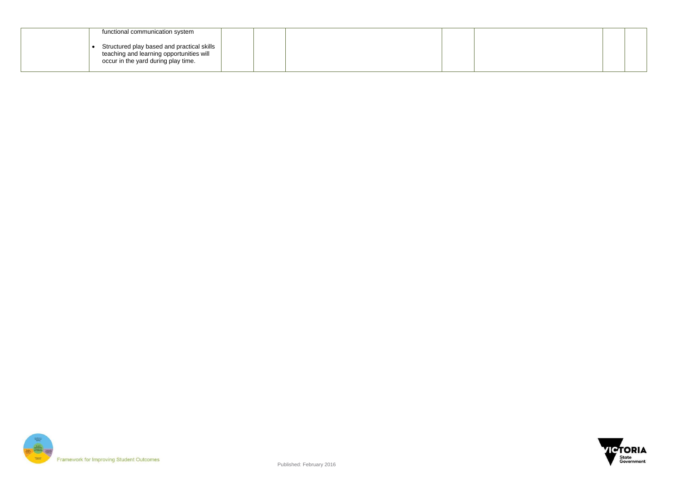

| functional communication system                                                                                               |  |
|-------------------------------------------------------------------------------------------------------------------------------|--|
| Structured play based and practical skills<br>teaching and learning opportunities will<br>occur in the yard during play time. |  |